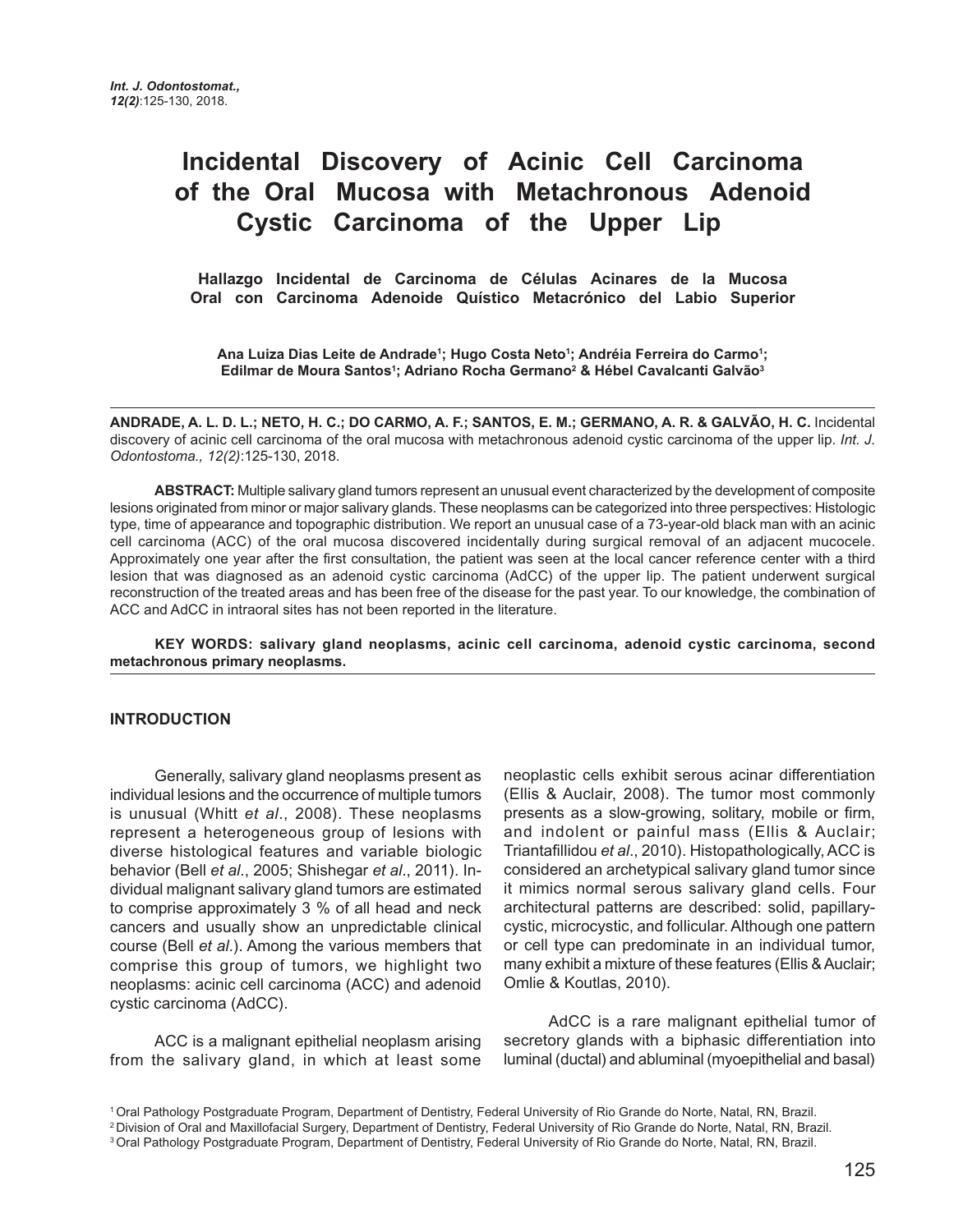# **Incidental Discovery of Acinic Cell Carcinoma of the Oral Mucosa with Metachronous Adenoid Cystic Carcinoma of the Upper Lip**

**Hallazgo Incidental de Carcinoma de Células Acinares de la Mucosa Oral con Carcinoma Adenoide Quístico Metacrónico del Labio Superior** 

Ana Luiza Dias Leite de Andrade<sup>ı</sup>; Hugo Costa Neto<sup>ı</sup>; Andréia Ferreira do Carmo<sup>ı</sup>; **Edilmar de Moura Santos1 ; Adriano Rocha Germano2 & Hébel Cavalcanti Galvão3**

**ANDRADE, A. L. D. L.; NETO, H. C.; DO CARMO, A. F.; SANTOS, E. M.; GERMANO, A. R. & GALVÃO, H. C.** Incidental discovery of acinic cell carcinoma of the oral mucosa with metachronous adenoid cystic carcinoma of the upper lip. *Int. J. Odontostoma., 12(2)*:125-130, 2018.

**ABSTRACT:** Multiple salivary gland tumors represent an unusual event characterized by the development of composite lesions originated from minor or major salivary glands. These neoplasms can be categorized into three perspectives: Histologic type, time of appearance and topographic distribution. We report an unusual case of a 73-year-old black man with an acinic cell carcinoma (ACC) of the oral mucosa discovered incidentally during surgical removal of an adjacent mucocele. Approximately one year after the first consultation, the patient was seen at the local cancer reference center with a third lesion that was diagnosed as an adenoid cystic carcinoma (AdCC) of the upper lip. The patient underwent surgical reconstruction of the treated areas and has been free of the disease for the past year. To our knowledge, the combination of ACC and AdCC in intraoral sites has not been reported in the literature.

**KEY WORDS: salivary gland neoplasms, acinic cell carcinoma, adenoid cystic carcinoma, second metachronous primary neoplasms.**

#### **INTRODUCTION**

Generally, salivary gland neoplasms present as individual lesions and the occurrence of multiple tumors is unusual (Whitt *et al*., 2008). These neoplasms represent a heterogeneous group of lesions with diverse histological features and variable biologic behavior (Bell *et al*., 2005; Shishegar *et al*., 2011). Individual malignant salivary gland tumors are estimated to comprise approximately 3 % of all head and neck cancers and usually show an unpredictable clinical course (Bell *et al*.). Among the various members that comprise this group of tumors, we highlight two neoplasms: acinic cell carcinoma (ACC) and adenoid cystic carcinoma (AdCC).

ACC is a malignant epithelial neoplasm arising from the salivary gland, in which at least some neoplastic cells exhibit serous acinar differentiation (Ellis & Auclair, 2008). The tumor most commonly presents as a slow-growing, solitary, mobile or firm, and indolent or painful mass (Ellis & Auclair; Triantafillidou *et al*., 2010). Histopathologically, ACC is considered an archetypical salivary gland tumor since it mimics normal serous salivary gland cells. Four architectural patterns are described: solid, papillarycystic, microcystic, and follicular. Although one pattern or cell type can predominate in an individual tumor, many exhibit a mixture of these features (Ellis & Auclair; Omlie & Koutlas, 2010).

AdCC is a rare malignant epithelial tumor of secretory glands with a biphasic differentiation into luminal (ductal) and abluminal (myoepithelial and basal)

<sup>1</sup> Oral Pathology Postgraduate Program, Department of Dentistry, Federal University of Rio Grande do Norte, Natal, RN, Brazil. 2 Division of Oral and Maxillofacial Surgery, Department of Dentistry, Federal University of Rio Grande do Norte, Natal, RN, Brazil. 3 Oral Pathology Postgraduate Program, Department of Dentistry, Federal University of Rio Grande do Norte, Natal, RN, Brazil.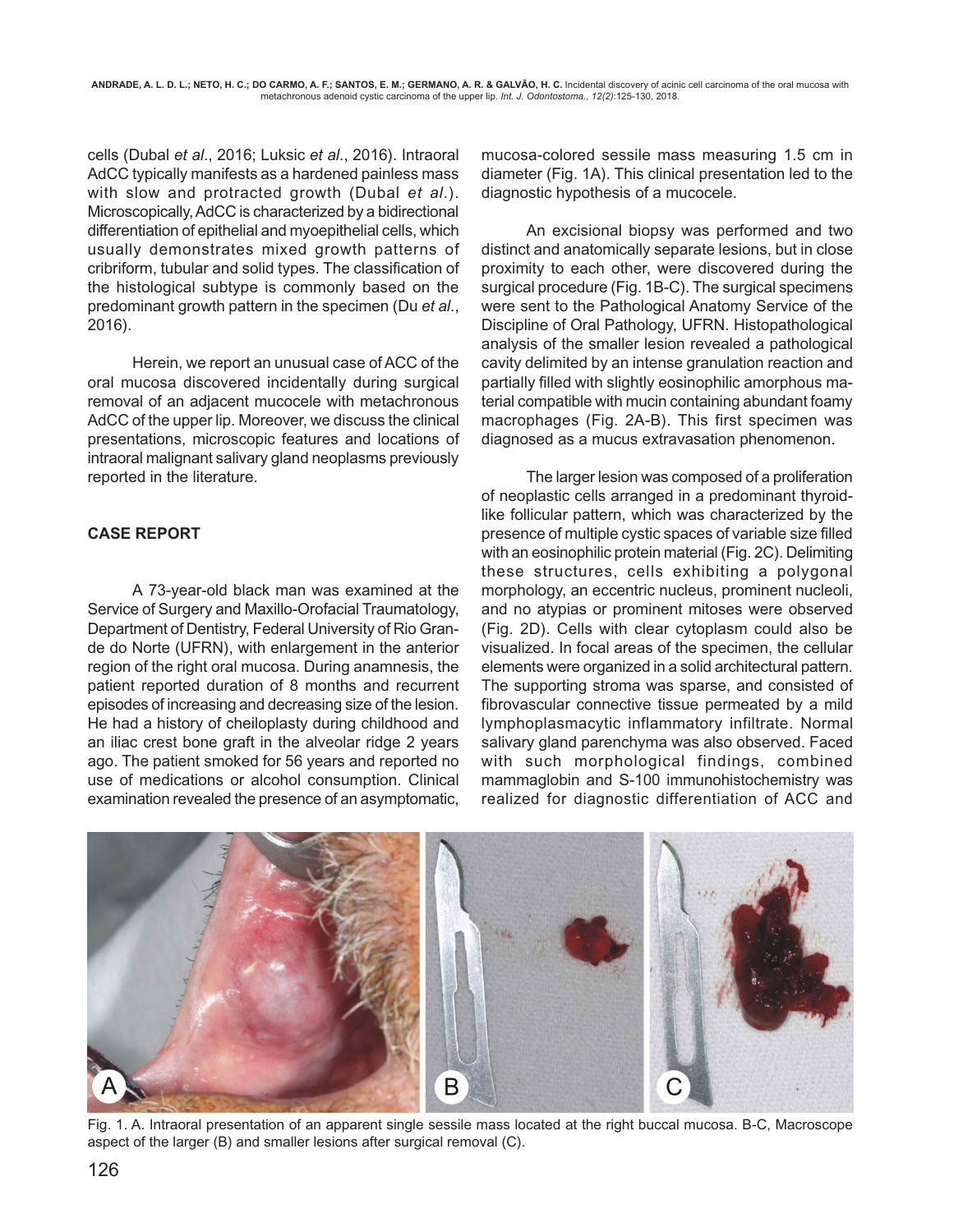cells (Dubal *et al*., 2016; Luksic *et al*., 2016). Intraoral AdCC typically manifests as a hardened painless mass with slow and protracted growth (Dubal *et al*.). Microscopically, AdCC is characterized by a bidirectional differentiation of epithelial and myoepithelial cells, which usually demonstrates mixed growth patterns of cribriform, tubular and solid types. The classification of the histological subtype is commonly based on the predominant growth pattern in the specimen (Du *et al*., 2016).

Herein, we report an unusual case of ACC of the oral mucosa discovered incidentally during surgical removal of an adjacent mucocele with metachronous AdCC of the upper lip. Moreover, we discuss the clinical presentations, microscopic features and locations of intraoral malignant salivary gland neoplasms previously reported in the literature.

## **CASE REPORT**

A 73-year-old black man was examined at the Service of Surgery and Maxillo-Orofacial Traumatology, Department of Dentistry, Federal University of Rio Grande do Norte (UFRN), with enlargement in the anterior region of the right oral mucosa. During anamnesis, the patient reported duration of 8 months and recurrent episodes of increasing and decreasing size of the lesion. He had a history of cheiloplasty during childhood and an iliac crest bone graft in the alveolar ridge 2 years ago. The patient smoked for 56 years and reported no use of medications or alcohol consumption. Clinical examination revealed the presence of an asymptomatic, mucosa-colored sessile mass measuring 1.5 cm in diameter (Fig. 1A). This clinical presentation led to the diagnostic hypothesis of a mucocele.

An excisional biopsy was performed and two distinct and anatomically separate lesions, but in close proximity to each other, were discovered during the surgical procedure (Fig. 1B-C). The surgical specimens were sent to the Pathological Anatomy Service of the Discipline of Oral Pathology, UFRN. Histopathological analysis of the smaller lesion revealed a pathological cavity delimited by an intense granulation reaction and partially filled with slightly eosinophilic amorphous material compatible with mucin containing abundant foamy macrophages (Fig. 2A-B). This first specimen was diagnosed as a mucus extravasation phenomenon.

The larger lesion was composed of a proliferation of neoplastic cells arranged in a predominant thyroidlike follicular pattern, which was characterized by the presence of multiple cystic spaces of variable size filled with an eosinophilic protein material (Fig. 2C). Delimiting these structures, cells exhibiting a polygonal morphology, an eccentric nucleus, prominent nucleoli, and no atypias or prominent mitoses were observed (Fig. 2D). Cells with clear cytoplasm could also be visualized. In focal areas of the specimen, the cellular elements were organized in a solid architectural pattern. The supporting stroma was sparse, and consisted of fibrovascular connective tissue permeated by a mild lymphoplasmacytic inflammatory infiltrate. Normal salivary gland parenchyma was also observed. Faced with such morphological findings, combined mammaglobin and S-100 immunohistochemistry was realized for diagnostic differentiation of ACC and



Fig. 1. A. Intraoral presentation of an apparent single sessile mass located at the right buccal mucosa. B-C, Macroscope aspect of the larger (B) and smaller lesions after surgical removal (C).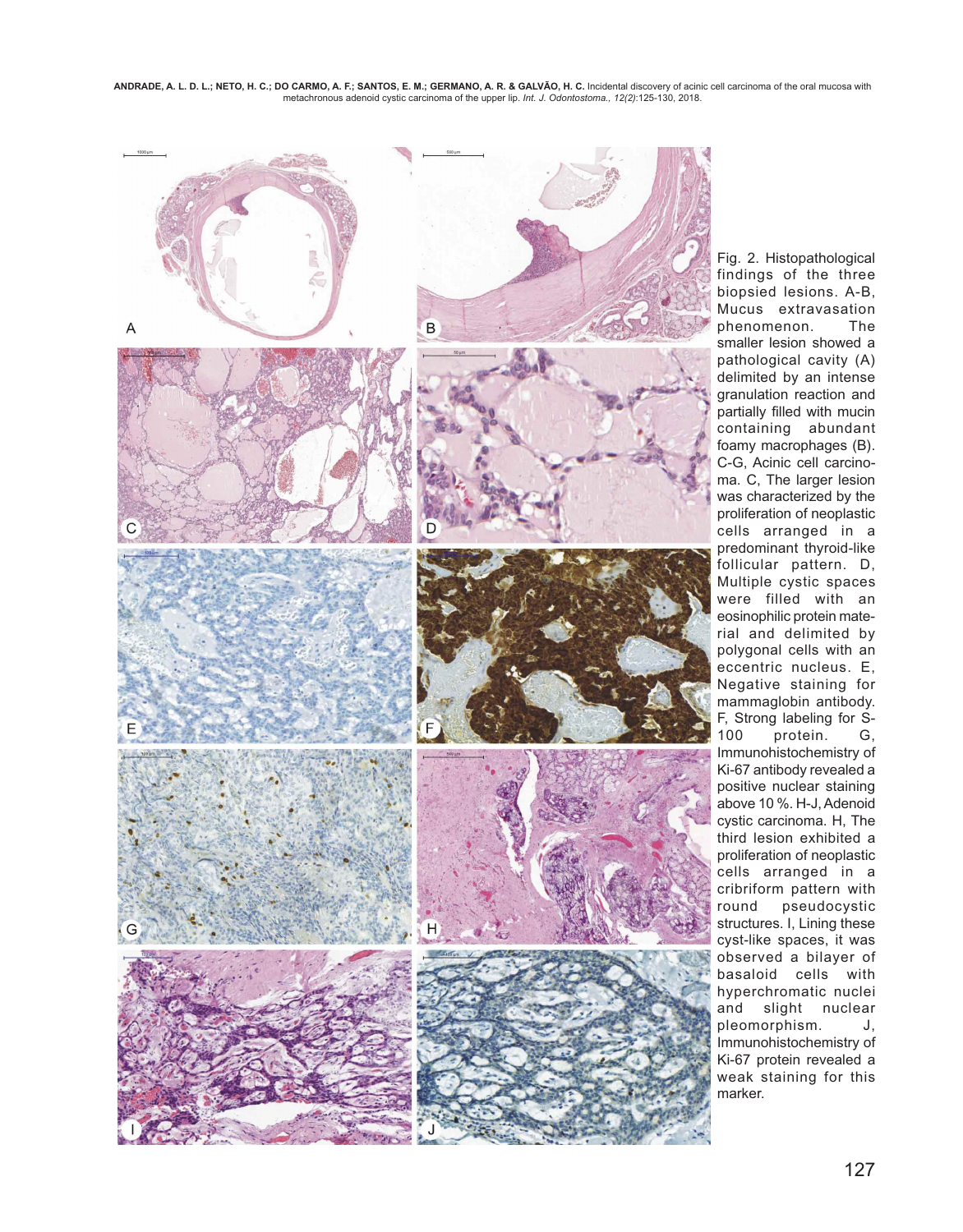**ANDRADE, A. L. D. L.; NETO, H. C.; DO CARMO, A. F.; SANTOS, E. M.; GERMANO, A. R. & GALVÃO, H. C.** Incidental discovery of acinic cell carcinoma of the oral mucosa with metachronous adenoid cystic carcinoma of the upper lip. *Int. J. Odontostoma., 12(2)*:125-130, 2018.



Fig. 2. Histopathological findings of the three biopsied lesions. A-B, Mucus extravasation phenomenon. The smaller lesion showed a pathological cavity (A) delimited by an intense granulation reaction and partially filled with mucin containing abundant foamy macrophages (B). C-G, Acinic cell carcinoma. C, The larger lesion was characterized by the proliferation of neoplastic cells arranged in a predominant thyroid-like follicular pattern. D, Multiple cystic spaces were filled with an eosinophilic protein material and delimited by polygonal cells with an eccentric nucleus. E, Negative staining for mammaglobin antibody. F, Strong labeling for S-100 protein. G, Immunohistochemistry of Ki-67 antibody revealed a positive nuclear staining above 10 %. H-J, Adenoid cystic carcinoma. H, The third lesion exhibited a proliferation of neoplastic cells arranged in a cribriform pattern with round pseudocystic structures. I, Lining these cyst-like spaces, it was observed a bilayer of basaloid cells with hyperchromatic nuclei and slight nuclear pleomorphism. J, Immunohistochemistry of Ki-67 protein revealed a weak staining for this marker.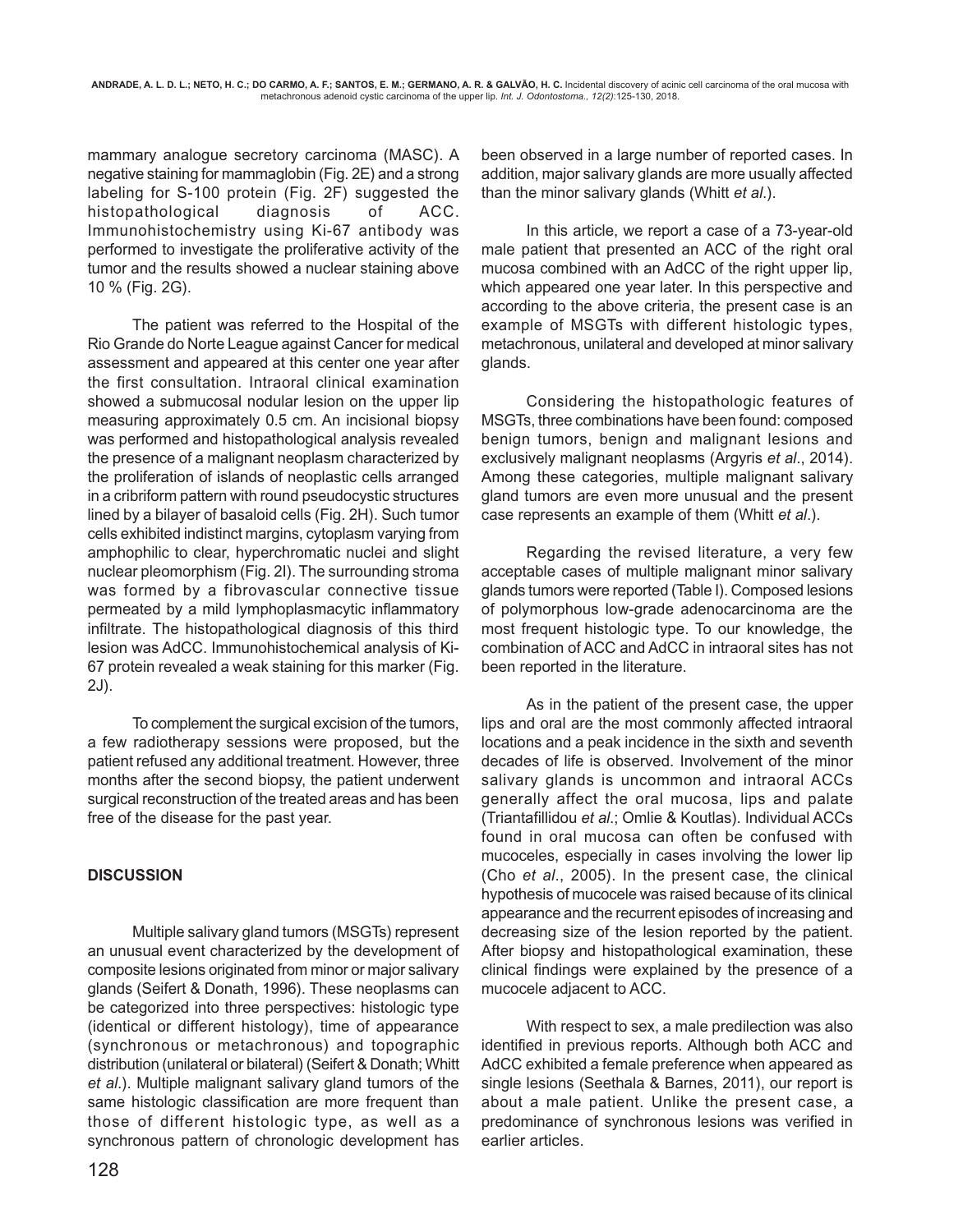mammary analogue secretory carcinoma (MASC). A negative staining for mammaglobin (Fig. 2E) and a strong labeling for S-100 protein (Fig. 2F) suggested the histopathological diagnosis of ACC. Immunohistochemistry using Ki-67 antibody was performed to investigate the proliferative activity of the tumor and the results showed a nuclear staining above 10 % (Fig. 2G).

The patient was referred to the Hospital of the Rio Grande do Norte League against Cancer for medical assessment and appeared at this center one year after the first consultation. Intraoral clinical examination showed a submucosal nodular lesion on the upper lip measuring approximately 0.5 cm. An incisional biopsy was performed and histopathological analysis revealed the presence of a malignant neoplasm characterized by the proliferation of islands of neoplastic cells arranged in a cribriform pattern with round pseudocystic structures lined by a bilayer of basaloid cells (Fig. 2H). Such tumor cells exhibited indistinct margins, cytoplasm varying from amphophilic to clear, hyperchromatic nuclei and slight nuclear pleomorphism (Fig. 2I). The surrounding stroma was formed by a fibrovascular connective tissue permeated by a mild lymphoplasmacytic inflammatory infiltrate. The histopathological diagnosis of this third lesion was AdCC. Immunohistochemical analysis of Ki-67 protein revealed a weak staining for this marker (Fig. 2J).

 To complement the surgical excision of the tumors, a few radiotherapy sessions were proposed, but the patient refused any additional treatment. However, three months after the second biopsy, the patient underwent surgical reconstruction of the treated areas and has been free of the disease for the past year.

### **DISCUSSION**

Multiple salivary gland tumors (MSGTs) represent an unusual event characterized by the development of composite lesions originated from minor or major salivary glands (Seifert & Donath, 1996). These neoplasms can be categorized into three perspectives: histologic type (identical or different histology), time of appearance (synchronous or metachronous) and topographic distribution (unilateral or bilateral) (Seifert & Donath; Whitt *et al*.). Multiple malignant salivary gland tumors of the same histologic classification are more frequent than those of different histologic type, as well as a synchronous pattern of chronologic development has

been observed in a large number of reported cases. In addition, major salivary glands are more usually affected than the minor salivary glands (Whitt *et al*.).

In this article, we report a case of a 73-year-old male patient that presented an ACC of the right oral mucosa combined with an AdCC of the right upper lip, which appeared one year later. In this perspective and according to the above criteria, the present case is an example of MSGTs with different histologic types, metachronous, unilateral and developed at minor salivary glands.

Considering the histopathologic features of MSGTs, three combinations have been found: composed benign tumors, benign and malignant lesions and exclusively malignant neoplasms (Argyris *et al*., 2014). Among these categories, multiple malignant salivary gland tumors are even more unusual and the present case represents an example of them (Whitt *et al*.).

Regarding the revised literature, a very few acceptable cases of multiple malignant minor salivary glands tumors were reported (Table I). Composed lesions of polymorphous low-grade adenocarcinoma are the most frequent histologic type. To our knowledge, the combination of ACC and AdCC in intraoral sites has not been reported in the literature.

As in the patient of the present case, the upper lips and oral are the most commonly affected intraoral locations and a peak incidence in the sixth and seventh decades of life is observed. Involvement of the minor salivary glands is uncommon and intraoral ACCs generally affect the oral mucosa, lips and palate (Triantafillidou *et al*.; Omlie & Koutlas). Individual ACCs found in oral mucosa can often be confused with mucoceles, especially in cases involving the lower lip (Cho *et al*., 2005). In the present case, the clinical hypothesis of mucocele was raised because of its clinical appearance and the recurrent episodes of increasing and decreasing size of the lesion reported by the patient. After biopsy and histopathological examination, these clinical findings were explained by the presence of a mucocele adjacent to ACC.

With respect to sex, a male predilection was also identified in previous reports. Although both ACC and AdCC exhibited a female preference when appeared as single lesions (Seethala & Barnes, 2011), our report is about a male patient. Unlike the present case, a predominance of synchronous lesions was verified in earlier articles.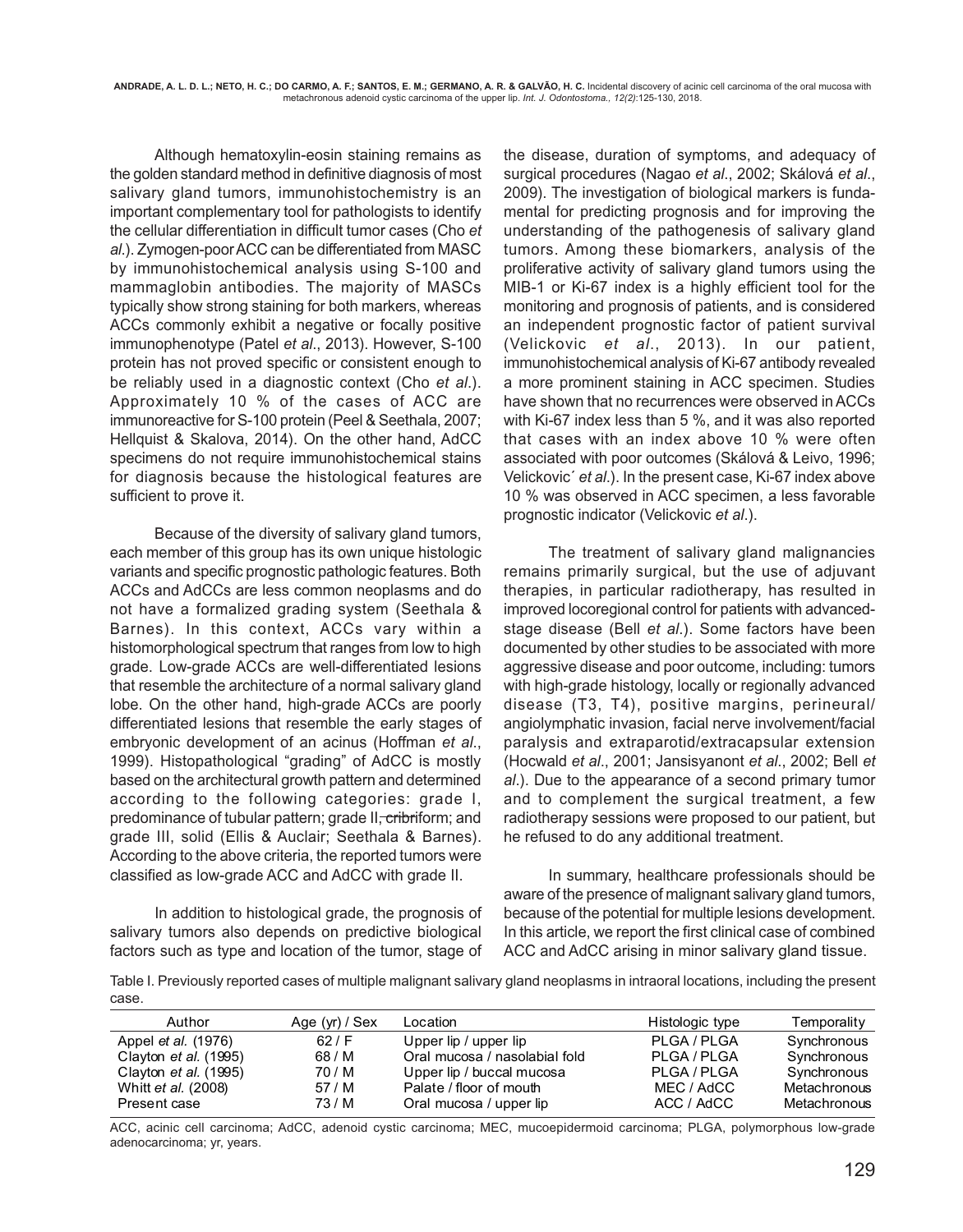Although hematoxylin-eosin staining remains as the golden standard method in definitive diagnosis of most salivary gland tumors, immunohistochemistry is an important complementary tool for pathologists to identify the cellular differentiation in difficult tumor cases (Cho *et al*.). Zymogen-poor ACC can be differentiated from MASC by immunohistochemical analysis using S-100 and mammaglobin antibodies. The majority of MASCs typically show strong staining for both markers, whereas ACCs commonly exhibit a negative or focally positive immunophenotype (Patel *et al*., 2013). However, S-100 protein has not proved specific or consistent enough to be reliably used in a diagnostic context (Cho *et al*.). Approximately 10 % of the cases of ACC are immunoreactive for S-100 protein (Peel & Seethala, 2007; Hellquist & Skalova, 2014). On the other hand, AdCC specimens do not require immunohistochemical stains for diagnosis because the histological features are sufficient to prove it.

Because of the diversity of salivary gland tumors, each member of this group has its own unique histologic variants and specific prognostic pathologic features. Both ACCs and AdCCs are less common neoplasms and do not have a formalized grading system (Seethala & Barnes). In this context, ACCs vary within a histomorphological spectrum that ranges from low to high grade. Low-grade ACCs are well-differentiated lesions that resemble the architecture of a normal salivary gland lobe. On the other hand, high-grade ACCs are poorly differentiated lesions that resemble the early stages of embryonic development of an acinus (Hoffman *et al*., 1999). Histopathological "grading" of AdCC is mostly based on the architectural growth pattern and determined according to the following categories: grade I, predominance of tubular pattern; grade II, cribriform; and grade III, solid (Ellis & Auclair; Seethala & Barnes). According to the above criteria, the reported tumors were classified as low-grade ACC and AdCC with grade II.

 In addition to histological grade, the prognosis of salivary tumors also depends on predictive biological factors such as type and location of the tumor, stage of the disease, duration of symptoms, and adequacy of surgical procedures (Nagao *et al*., 2002; Skálová *et al*., 2009). The investigation of biological markers is fundamental for predicting prognosis and for improving the understanding of the pathogenesis of salivary gland tumors. Among these biomarkers, analysis of the proliferative activity of salivary gland tumors using the MIB-1 or Ki-67 index is a highly efficient tool for the monitoring and prognosis of patients, and is considered an independent prognostic factor of patient survival (Velickovic *et al*., 2013). In our patient, immunohistochemical analysis of Ki-67 antibody revealed a more prominent staining in ACC specimen. Studies have shown that no recurrences were observed in ACCs with Ki-67 index less than 5 %, and it was also reported that cases with an index above 10 % were often associated with poor outcomes (Skálová & Leivo, 1996; Velickovic´ *et al*.). In the present case, Ki-67 index above 10 % was observed in ACC specimen, a less favorable prognostic indicator (Velickovic *et al*.).

The treatment of salivary gland malignancies remains primarily surgical, but the use of adjuvant therapies, in particular radiotherapy, has resulted in improved locoregional control for patients with advancedstage disease (Bell *et al*.). Some factors have been documented by other studies to be associated with more aggressive disease and poor outcome, including: tumors with high-grade histology, locally or regionally advanced disease (T3, T4), positive margins, perineural/ angiolymphatic invasion, facial nerve involvement/facial paralysis and extraparotid/extracapsular extension (Hocwald *et al*., 2001; Jansisyanont *et al*., 2002; Bell *et al*.). Due to the appearance of a second primary tumor and to complement the surgical treatment, a few radiotherapy sessions were proposed to our patient, but he refused to do any additional treatment.

In summary, healthcare professionals should be aware of the presence of malignant salivary gland tumors, because of the potential for multiple lesions development. In this article, we report the first clinical case of combined ACC and AdCC arising in minor salivary gland tissue.

Table I. Previously reported cases of multiple malignant salivary gland neoplasms in intraoral locations, including the present case.

| Author                       | Age (yr) / Sex | Location                      | Histologic type | Temporality  |
|------------------------------|----------------|-------------------------------|-----------------|--------------|
| Appel <i>et al.</i> (1976)   | 62/F           | Upper lip / upper lip         | PLGA / PLGA     | Synchronous  |
| Clayton et al. (1995)        | 68 / M         | Oral mucosa / nasolabial fold | PLGA / PLGA     | Synchronous  |
| Clayton <i>et al.</i> (1995) | 70 / M         | Upper lip / buccal mucosa     | PLGA / PLGA     | Synchronous  |
| Whitt et al. (2008)          | 57 / M         | Palate / floor of mouth       | MEC / AdCC      | Metachronous |
| Present case                 | 73 / M         | Oral mucosa / upper lip       | ACC / AdCC      | Metachronous |
|                              |                |                               |                 |              |

ACC, acinic cell carcinoma; AdCC, adenoid cystic carcinoma; MEC, mucoepidermoid carcinoma; PLGA, polymorphous low-grade adenocarcinoma; yr, years.